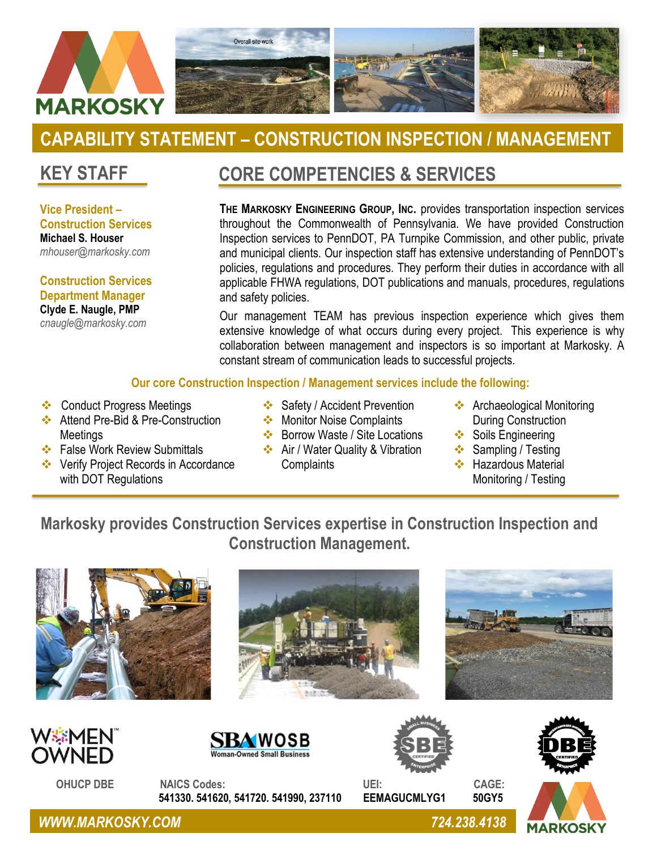

# **CAPABILITY STATEMENT – CONSTRUCTION INSPECTION / MANAGEMENT**

### **KEY STAFF**

**Vice President – Construction Services Michael S. Houser** *mhouser@markosky.com*

**Construction Services Department Manager Clyde E. Naugle, PMP** *cnaugle@markosky.com*

### **CORE COMPETENCIES & SERVICES**

**THE MARKOSKY ENGINEERING GROUP, INC.** provides transportation inspection services throughout the Commonwealth of Pennsylvania. We have provided Construction Inspection services to PennDOT, PA Turnpike Commission, and other public, private and municipal clients. Our inspection staff has extensive understanding of PennDOT's policies, regulations and procedures. They perform their duties in accordance with all applicable FHWA regulations, DOT publications and manuals, procedures, regulations and safety policies.

Our management TEAM has previous inspection experience which gives them extensive knowledge of what occurs during every project. This experience is why collaboration between management and inspectors is so important at Markosky. A constant stream of communication leads to successful projects.

#### **Our core Construction Inspection / Management services include the following:**

- ❖ Conduct Progress Meetings
- ❖ Attend Pre-Bid & Pre-Construction Meetings
- ❖ False Work Review Submittals

❖ In – Depth Inspections

- ❖ Verify Project Records in Accordance with DOT Regulations
- ❖ Safety / Accident Prevention
- ❖ Monitor Noise Complaints ❖ Borrow Waste / Site Locations

❖ Air / Water Quality & Vibration

- ❖ Archaeological Monitoring During Construction
	- ❖ Soils Engineering
	- ❖ Sampling / Testing
	- ❖ Hazardous Material Monitoring / Testing

### **Markosky provides Construction Services expertise in Construction Inspection and Construction Management.**

**Complaints** 







 **OHUCP DBE NAICS Codes: UEI: CAGE: 541330. 541620, 541720. 541990, 237110 EEMAGUCMLYG1 50GY5**







*WWW.MARKOSKY.COM 724.238.4138*